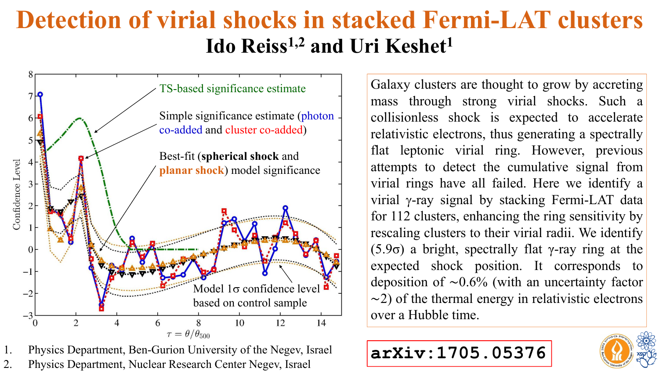# **Detection of virial shocks in stacked Fermi-LAT clusters Ido Reiss 1,2 and Uri Keshet 1**



1. Physics Department, Ben-Gurion University of the Negev, Israel<br>2. Physics Department, Nuclear Research Center Negev, Israel 2. Physics Department, Nuclear Research Center Negev, Israel

Galaxy clusters are thought to grow by accreting mass through strong virial shocks. Such <sup>a</sup> collisionless shock is expected to accelerate relativistic electrons, thus generating <sup>a</sup> spectrally flat leptonic virial ring. However, previous attempts to detect the cumulative signal from virial rings have all failed. Here we identify <sup>a</sup> virial <sup>γ</sup>-ray signal by stacking Fermi-LAT data for <sup>112</sup> clusters, enhancing the ring sensitivity by rescaling clusters to their virial radii. We identify (5.9σ) <sup>a</sup> bright, spectrally flat γ-ray ring at the expected shock position. It corresponds to deposition of <sup>∼</sup>0.6% (with an uncertainty factor <sup>∼</sup>2) of the thermal energy in relativistic electrons over <sup>a</sup> Hubble time.



# **arXiv:1705.05376**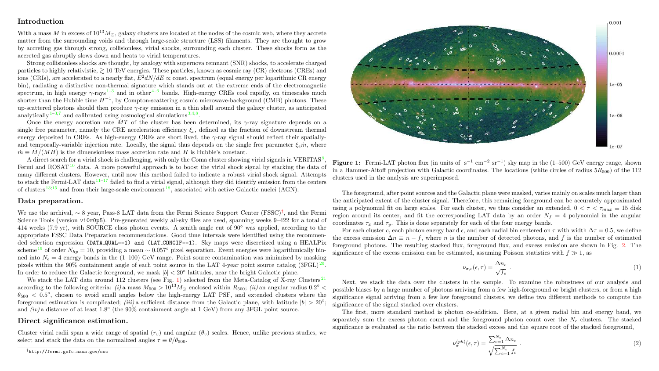#### Introduction

With a mass M in excess of  $10^{13}M_{\odot}$ , galaxy clusters are located at the nodes of the cosmic web, where they accrete matter from the surrounding voids and through large-scale structure (LSS) filaments. They are thought to grow by accreting gas through strong, collisionless, virial shocks, surrounding each cluster. These shocks form as the accreted gas abruptly slows down and heats to virial temperatures.

Strong collisionless shocks are thought, by analogy with supernova remnant (SNR) shocks, to accelerate charged particles to highly relativistic,  $\geq 10$  TeV energies. These particles, known as cosmic ray (CR) electrons (CREs) and ions (CRIs), are accelerated to a nearly flat,  $E^2 dN/dE \propto \text{const.}$  spectrum (equal energy per logarithmic CR energy bin), radiating a distinctive non-thermal signature which stands out at the extreme ends of the electromagnetic spectrum, in high energy  $\gamma$ -rays  $1^{-3}$  $1^{-3}$  $1^{-3}$  and in other  $4^{-6}$  $4^{-6}$  bands. High-energy CREs cool rapidly, on timescales much shorter than the Hubble time  $H^{-1}$ , by Compton-scattering cosmic microwave-background (CMB) photons. These up-scattered photons should then produce γ-ray emission in a thin shell around the galaxy cluster, as anticipated analytically  $1-3,7$  $1-3,7$  and calibrated using cosmological simulations  $3,4,8$  $3,4,8$ .

Once the energy accretion rate MT of the cluster has been determined, its  $\gamma$ -ray signature depends on a single free parameter, namely the CRE acceleration efficiency  $\xi_e$ , defined as the fraction of downstream thermal energy deposited in CREs. As high-energy CREs are short lived, the  $\gamma$ -ray signal should reflect their spatiallyand temporally-variable injection rate. Locally, the signal thus depends on the single free parameter  $\xi_e \dot{m}$ , where  $\dot{m} \equiv \dot{M}/(MH)$  is the dimensionless mass accretion rate and H is Hubble's constant.

A direct search for a virial shock is challenging, with only the Coma cluster showing virial signals in VERITAS<sup>[9](#page-3-6)</sup> , Fermi and ROSAT<sup>[10](#page-3-7)</sup> data. A more powerful approach is to boost the virial shock signal by stacking the data of many different clusters. However, until now this method failed to indicate a robust virial shock signal. Attempts to stack the Fermi-LAT data  $11^{-17}$  $11^{-17}$  $11^{-17}$  failed to find a virial signal, although they did identify emission from the centers of clusters  $13;15$  $13;15$  and from their large-scale environment  $18$ , associated with active Galactic nuclei (AGN).

### Data preparation.

We use the archival, ∼ 8 year, Pass-8 LAT data from the Fermi Science Support Center (FSSC)† , and the Fermi Science Tools (version v10r0p5). Pre-generated weekly all-sky files are used, spanning weeks 9–422 for a total of 414 weeks (7.9 yr), with SOURCE class photon events. A zenith angle cut of 90◦ was applied, according to the appropriate FSSC Data Preparation recommendations. Good time intervals were identified using the recommended selection expression (DATA QUAL==1) and (LAT CONGIF==1). Sky maps were discretized using a HEALPix scheme <sup>[19](#page-3-13)</sup> of order  $N_{hn} = 10$ , providing a mean ~ 0.057° pixel separation. Event energies were logarithmically binned into  $N_e = 4$  energy bands in the (1–100) GeV range. Point source contamination was minimized by masking pixels within the 90% containment angle of each point source in the LAT 4-year point source catalog  $(3FGL)^{20}$  $(3FGL)^{20}$  $(3FGL)^{20}$ . In order to reduce the Galactic foreground, we mask  $|b| < 20^{\circ}$  latitudes, near the bright Galactic plane.

We stack the LAT data around 112 clusters (see Fig. [1\)](#page-1-0) selected from the Meta-Catalog of X-ray Clusters  $^{21}$  $^{21}$  $^{21}$ according to the following criteria:  $(i)$  a mass  $M_{500} > 10^{13} M_{\odot}$  enclosed within  $R_{500}$ ;  $(ii)$  an angular radius  $0.2^{\circ}$  <  $\theta_{500}$  < 0.5°, chosen to avoid small angles below the high-energy LAT PSF, and extended clusters where the foreground estimation is complicated; (iii) a sufficient distance from the Galactic plane, with latitude  $|b| > 20°$ ; and  $(iv)$  a distance of at least 1.8 $^{\circ}$  (the 90% containment angle at 1 GeV) from any 3FGL point source.

#### Direct significance estimation.

Cluster virial radii span a wide range of spatial  $(r_n)$  and angular  $(\theta_n)$  scales. Hence, unlike previous studies, we select and stack the data on the normalized angles  $\tau \equiv \theta/\theta_{500}$ .

†http://fermi.gsfc.nasa.gov/ssc

<span id="page-1-0"></span>

Figure 1: Fermi-LAT photon flux (in units of  $s^{-1}$  cm<sup>-2</sup> sr<sup>-1</sup>) sky map in the (1-500) GeV energy range, shown in a Hammer-Aitoff projection with Galactic coordinates. The locations (white circles of radius  $5R_{500}$ ) of the 112 clusters used in the analysis are superimposed.

The foreground, after point sources and the Galactic plane were masked, varies mainly on scales much larger than the anticipated extent of the cluster signal. Therefore, this remaining foreground can be accurately approximated using a polynomial fit on large scales. For each cluster, we thus consider an extended,  $0 < \tau < \tau_{max} \equiv 15$  disk region around its center, and fit the corresponding LAT data by an order  $N_f = 4$  polynomial in the angular coordinates  $\tau_r$  and  $\tau_u$ . This is done separately for each of the four energy bands.

For each cluster c, each photon energy band  $\epsilon$ , and each radial bin centered on  $\tau$  with width  $\Delta \tau = 0.5$ , we define the excess emission  $\Delta n \equiv n - f$ , where n is the number of detected photons, and f is the number of estimated foreground photons. The resulting stacked flux, foreground flux, and excess emission are shown in Fig. [2.](#page-2-0) The significance of the excess emission can be estimated, assuming Poisson statistics with  $f \geqslant 1$ , as

<span id="page-1-1"></span>
$$
\nu_{\sigma,c}(\epsilon,\tau) = \frac{\Delta n_c}{\sqrt{f_c}} \tag{1}
$$

Next, we stack the data over the clusters in the sample. To examine the robustness of our analysis and possible biases by a large number of photons arriving from a few high-foreground or bright clusters, or from a high significance signal arriving from a few low foreground clusters, we define two different methods to compute the significance of the signal stacked over clusters.

The first, more standard method is photon co-addition. Here, at a given radial bin and energy band, we separately sum the excess photon count and the foreground photon count over the  $N_c$  clusters. The stacked significance is evaluated as the ratio between the stacked excess and the square root of the stacked foreground.

$$
\nu_{\sigma}^{(ph)}(\epsilon,\tau) = \frac{\sum_{c=1}^{N_c} \Delta n_c}{\sqrt{\sum_{c=1}^{N_c} f_c}} \tag{2}
$$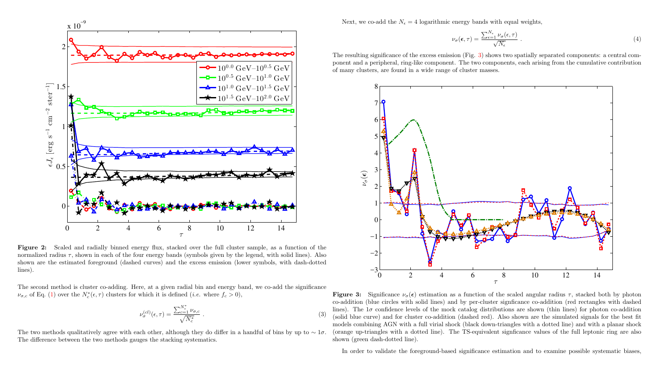<span id="page-2-0"></span>

Figure 2: Scaled and radially binned energy flux, stacked over the full cluster sample, as a function of the normalized radius  $\tau$ , shown in each of the four energy bands (symbols given by the legend, with solid lines). Also shown are the estimated foreground (dashed curves) and the excess emission (lower symbols, with dash-dotted lines).

The second method is cluster co-adding. Here, at a given radial bin and energy band, we co-add the significance  $\nu_{\sigma,c}$  of Eq. [\(1\)](#page-1-1) over the  $N_c^*(\epsilon,\tau)$  clusters for which it is defined (*i.e.* where  $f_c > 0$ ),

$$
\nu_{\sigma}^{(cl)}(\epsilon,\tau) = \frac{\sum_{c=1}^{N_c^*} \nu_{\sigma,c}}{\sqrt{N_c^*}}.
$$
\n(3)

The two methods qualitatively agree with each other, although they do differ in a handful of bins by up to  $\sim 1\sigma$ . The difference between the two methods gauges the stacking systematics.

Next, we co-add the  $N_e = 4$  logarithmic energy bands with equal weights,

$$
\nu_{\sigma}(\epsilon,\tau) = \frac{\sum_{\epsilon=1}^{N_{\epsilon}} \nu_{\sigma}(\epsilon,\tau)}{\sqrt{N_{\epsilon}}} \ . \tag{4}
$$

The resulting significance of the excess emission (Fig. [3\)](#page-2-1) shows two spatially separated components: a central component and a peripheral, ring-like component. The two components, each arising from the cumulative contribution of many clusters, are found in a wide range of cluster masses.

<span id="page-2-1"></span>

**Figure 3:** Significance  $\nu_{\sigma}(\epsilon)$  estimation as a function of the scaled angular radius  $\tau$ , stacked both by photon co-addition (blue circles with solid lines) and by per-cluster signficance co-addition (red rectangles with dashed lines). The  $1\sigma$  confidence levels of the mock catalog distributions are shown (thin lines) for photon co-addition (solid blue curve) and for cluster co-addition (dashed red). Also shown are the simulated signals for the best fit models combining AGN with a full virial shock (black down-triangles with a dotted line) and with a planar shock (orange up-triangles with a dotted line). The TS-equivalent signficance values of the full leptonic ring are also shown (green dash-dotted line).

In order to validate the foreground-based significance estimation and to examine possible systematic biases,